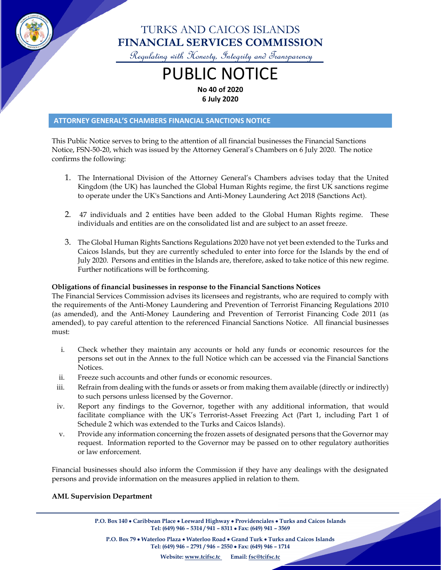

## TURKS AND CAICOS ISLANDS **FINANCIAL SERVICES COMMISSION**

Regulating with Honesty, Integrity and Transparency

# PUBLIC NOTICE **No 40 of 2020**

**6 July 2020**

#### **ATTORNEY GENERAL'S CHAMBERS FINANCIAL SANCTIONS NOTICE**

This Public Notice serves to bring to the attention of all financial businesses the Financial Sanctions Notice, FSN-50-20, which was issued by the Attorney General's Chambers on 6 July 2020. The notice confirms the following:

- 1. The International Division of the Attorney General's Chambers advises today that the United Kingdom (the UK) has launched the Global Human Rights regime, the first UK sanctions regime to operate under the UK's Sanctions and Anti-Money Laundering Act 2018 (Sanctions Act).
- 2. 47 individuals and 2 entities have been added to the Global Human Rights regime. These individuals and entities are on the consolidated list and are subject to an asset freeze.
- 3. The Global Human Rights Sanctions Regulations 2020 have not yet been extended to the Turks and Caicos Islands, but they are currently scheduled to enter into force for the Islands by the end of July 2020. Persons and entities in the Islands are, therefore, asked to take notice of this new regime. Further notifications will be forthcoming.

#### **Obligations of financial businesses in response to the Financial Sanctions Notices**

The Financial Services Commission advises its licensees and registrants, who are required to comply with the requirements of the Anti-Money Laundering and Prevention of Terrorist Financing Regulations 2010 (as amended), and the Anti-Money Laundering and Prevention of Terrorist Financing Code 2011 (as amended), to pay careful attention to the referenced Financial Sanctions Notice. All financial businesses must:

- i. Check whether they maintain any accounts or hold any funds or economic resources for the persons set out in the Annex to the full Notice which can be accessed via the Financial Sanctions Notices.
- ii. Freeze such accounts and other funds or economic resources.
- iii. Refrain from dealing with the funds or assets or from making them available (directly or indirectly) to such persons unless licensed by the Governor.
- iv. Report any findings to the Governor, together with any additional information, that would facilitate compliance with the UK's Terrorist-Asset Freezing Act (Part 1, including Part 1 of Schedule 2 which was extended to the Turks and Caicos Islands).
- v. Provide any information concerning the frozen assets of designated persons that the Governor may request. Information reported to the Governor may be passed on to other regulatory authorities or law enforcement.

Financial businesses should also inform the Commission if they have any dealings with the designated persons and provide information on the measures applied in relation to them.

#### **AML Supervision Department**

**P.O. Box 140** • **Caribbean Place** • **Leeward Highway** • **Providenciales** • **Turks and Caicos Islands Tel: (649) 946 – 5314 / 941 – 8311** • **Fax: (649) 941 – 3569**

**P.O. Box 79** • **Waterloo Plaza** • **Waterloo Road** • **Grand Turk** • **Turks and Caicos Islands Tel: (649) 946 – 2791 / 946 – 2550** • **Fax: (649) 946 – 1714**